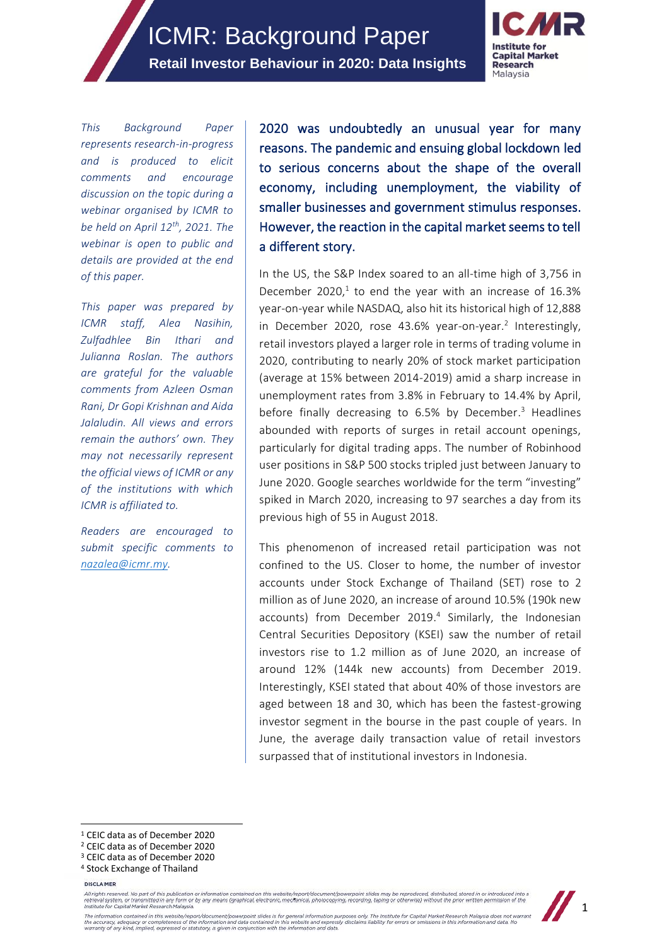

*This Background Paper represents research-in-progress and is produced to elicit comments and encourage discussion on the topic during a webinar organised by ICMR to be held on April 12th, 2021. The webinar is open to public and details are provided at the end of this paper.* 

*This paper was prepared by ICMR staff, Alea Nasihin, Zulfadhlee Bin Ithari and Julianna Roslan. The authors are grateful for the valuable comments from Azleen Osman Rani, Dr Gopi Krishnan and Aida Jalaludin. All views and errors remain the authors' own. They may not necessarily represent the official views of ICMR or any of the institutions with which ICMR is affiliated to.* 

*Readers are encouraged to submit specific comments to [nazalea@icmr.my.](mailto:nazalea@icmr.my)*

2020 was undoubtedly an unusual year for many reasons. The pandemic and ensuing global lockdown led to serious concerns about the shape of the overall economy, including unemployment, the viability of smaller businesses and government stimulus responses. However, the reaction in the capital market seems to tell a different story.

In the US, the S&P Index soared to an all-time high of 3,756 in December 2020, $1$  to end the year with an increase of 16.3% year-on-year while NASDAQ, also hit its historical high of 12,888 in December 2020, rose 43.6% year-on-year.<sup>2</sup> Interestingly, retail investors played a larger role in terms of trading volume in 2020, contributing to nearly 20% of stock market participation (average at 15% between 2014-2019) amid a sharp increase in unemployment rates from 3.8% in February to 14.4% by April, before finally decreasing to 6.5% by December. <sup>3</sup> Headlines abounded with reports of surges in retail account openings, particularly for digital trading apps. The number of Robinhood user positions in S&P 500 stocks tripled just between January to June 2020. Google searches worldwide for the term "investing" spiked in March 2020, increasing to 97 searches a day from its previous high of 55 in August 2018.

This phenomenon of increased retail participation was not confined to the US. Closer to home, the number of investor accounts under Stock Exchange of Thailand (SET) rose to 2 million as of June 2020, an increase of around 10.5% (190k new accounts) from December 2019. 4 Similarly, the Indonesian Central Securities Depository (KSEI) saw the number of retail investors rise to 1.2 million as of June 2020, an increase of around 12% (144k new accounts) from December 2019. Interestingly, KSEI stated that about 40% of those investors are aged between 18 and 30, which has been the fastest-growing investor segment in the bourse in the past couple of years. In June, the average daily transaction value of retail investors surpassed that of institutional investors in Indonesia.

<sup>1</sup> CEIC data as of December 2020

- <sup>2</sup> CEIC data as of December 2020
- <sup>3</sup> CEIC data as of December 2020
- <sup>4</sup> Stock Exchange of Thailand

DISCLAIMER

All rights reserved. No part of this publication or information contained on this website/report/document/powerpoint slides may be reproduced, distributed, stored in or introduced into a<br>retrieval system, or transmitted in



The information contained in this website/report/document/powerpoint slides is for general information purposes only. The institute for Capital Market Research Malaysia does not warrant<br>the accuracy, adequacy or completene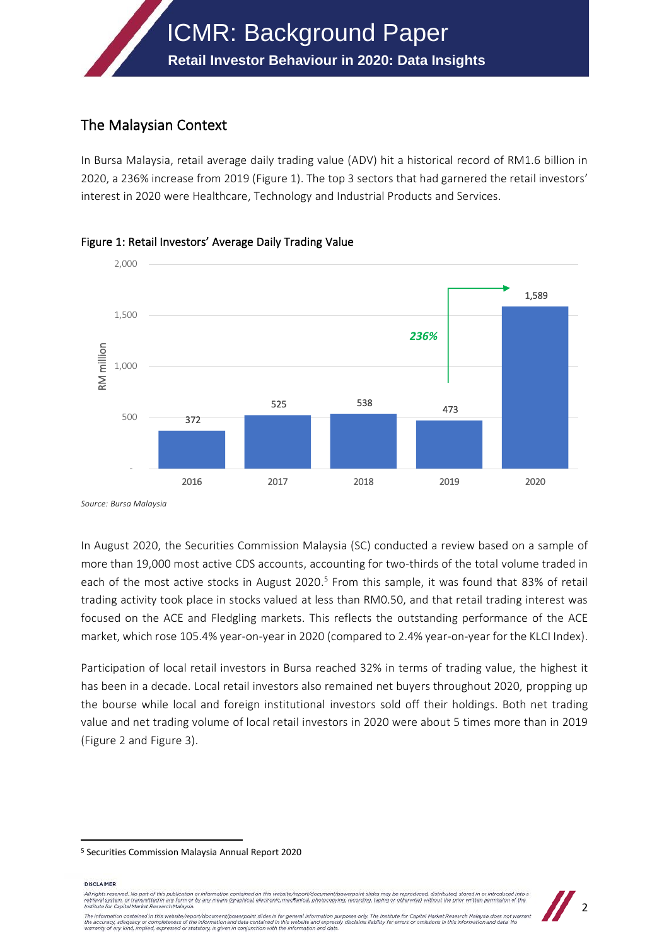

# The Malaysian Context

In Bursa Malaysia, retail average daily trading value (ADV) hit a historical record of RM1.6 billion in 2020, a 236% increase from 2019 (Figure 1). The top 3 sectors that had garnered the retail investors' interest in 2020 were Healthcare, Technology and Industrial Products and Services.



Figure 1: Retail Investors' Average Daily Trading Value

*Source: Bursa Malaysia*

In August 2020, the Securities Commission Malaysia (SC) conducted a review based on a sample of more than 19,000 most active CDS accounts, accounting for two-thirds of the total volume traded in each of the most active stocks in August 2020.<sup>5</sup> From this sample, it was found that 83% of retail trading activity took place in stocks valued at less than RM0.50, and that retail trading interest was focused on the ACE and Fledgling markets. This reflects the outstanding performance of the ACE market, which rose 105.4% year-on-year in 2020 (compared to 2.4% year-on-year for the KLCI Index).

Participation of local retail investors in Bursa reached 32% in terms of trading value, the highest it has been in a decade. Local retail investors also remained net buyers throughout 2020, propping up the bourse while local and foreign institutional investors sold off their holdings. Both net trading value and net trading volume of local retail investors in 2020 were about 5 times more than in 2019 (Figure 2 and Figure 3).

DISCLAIMER

All rights reserved. No part of this publication or inford on this website/re  $int/b$ duced distributed star erver us published in membran temahnel arrangement population and published and particulation of the prior was membrand in the prior within the prior within the prior within permission of the<br>Initied in any form or by any Institute for Capital Market Research Malaysia



The information contained in this website/report/document/powerpoint slides is for general information purposes only. The institute for Capital Market Research Malaysia does not warrant<br>the accuracy, adequacy or completene

<sup>5</sup> Securities Commission Malaysia Annual Report 2020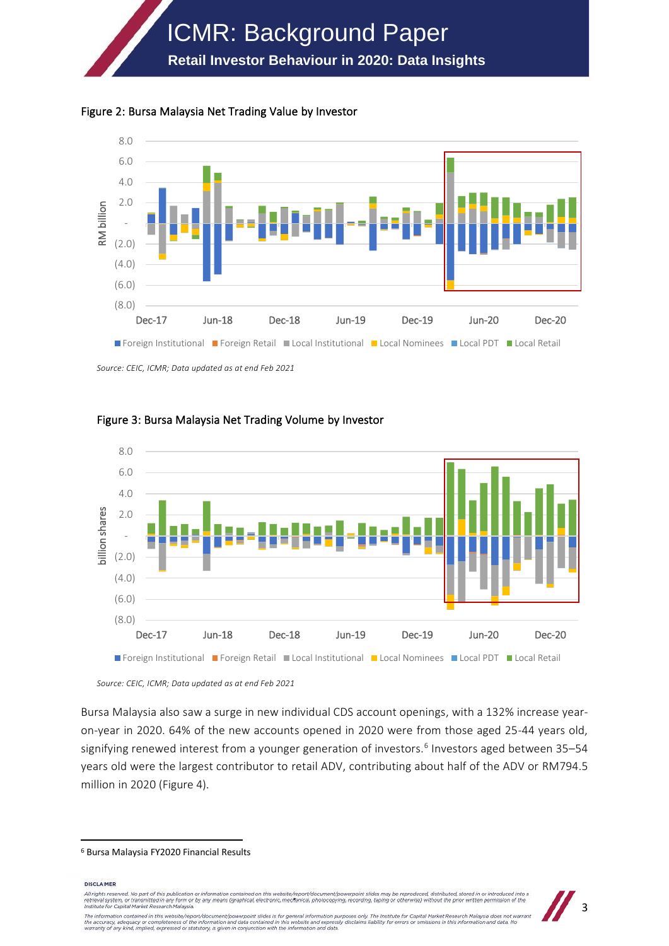





*Source: CEIC, ICMR; Data updated as at end Feb 2021*

![](_page_2_Figure_4.jpeg)

Figure 3: Bursa Malaysia Net Trading Volume by Investor

*Source: CEIC, ICMR; Data updated as at end Feb 2021*

Bursa Malaysia also saw a surge in new individual CDS account openings, with a 132% increase yearon-year in 2020. 64% of the new accounts opened in 2020 were from those aged 25-44 years old, signifying renewed interest from a younger generation of investors.<sup>6</sup> Investors aged between 35–54 years old were the largest contributor to retail ADV, contributing about half of the ADV or RM794.5 million in 2020 (Figure 4).

DISCLAIMER

All rights reserved. No part of this pubentrieval system, or transmitted in any form or by any means contained or this website, epoch observating permissions and the processive contained to the content of the prior written processes and the content of the prior ission of the

![](_page_2_Picture_11.jpeg)

<sup>6</sup> Bursa Malaysia FY2020 Financial Results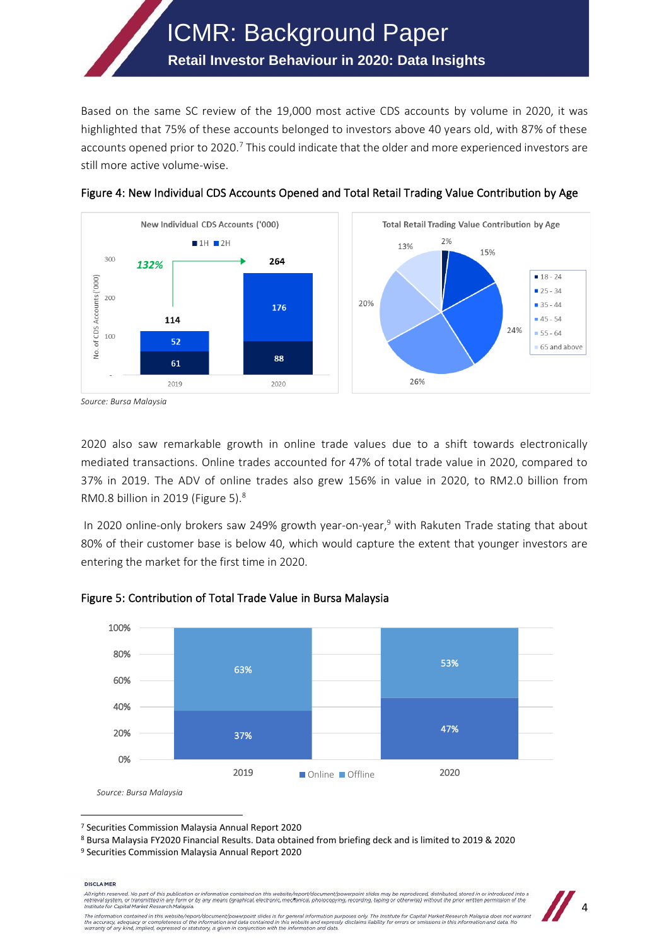Based on the same SC review of the 19,000 most active CDS accounts by volume in 2020, it was highlighted that 75% of these accounts belonged to investors above 40 years old, with 87% of these accounts opened prior to 2020.<sup>7</sup> This could indicate that the older and more experienced investors are still more active volume-wise.

**Retail Investor Behaviour in 2020: Data Insights**

ICMR: Background Paper

![](_page_3_Figure_1.jpeg)

![](_page_3_Figure_2.jpeg)

*Source: Bursa Malaysia*

2020 also saw remarkable growth in online trade values due to a shift towards electronically mediated transactions. Online trades accounted for 47% of total trade value in 2020, compared to 37% in 2019. The ADV of online trades also grew 156% in value in 2020, to RM2.0 billion from RM0.8 billion in 2019 (Figure 5).<sup>8</sup>

In 2020 online-only brokers saw 249% growth year-on-year, <sup>9</sup> with Rakuten Trade stating that about 80% of their customer base is below 40, which would capture the extent that younger investors are entering the market for the first time in 2020.

![](_page_3_Figure_6.jpeg)

## Figure 5: Contribution of Total Trade Value in Bursa Malaysia

#### DISCLAIMER

.<br>All rights reserved. No part of this publication or information contained on this website/report/document/pe erpoint slides may be re duced, distributed, stared in or introduced into a Ail rights reserved. We part of this publication of intermation contained on this webstep-poportrodiculture powerpoint sheet may be reproduced, astrolled, stored in or introduced into<br>retrieval system, or transmitted in an

![](_page_3_Picture_13.jpeg)

<sup>7</sup> Securities Commission Malaysia Annual Report 2020

<sup>8</sup> Bursa Malaysia FY2020 Financial Results. Data obtained from briefing deck and is limited to 2019 & 2020

<sup>9</sup> Securities Commission Malaysia Annual Report 2020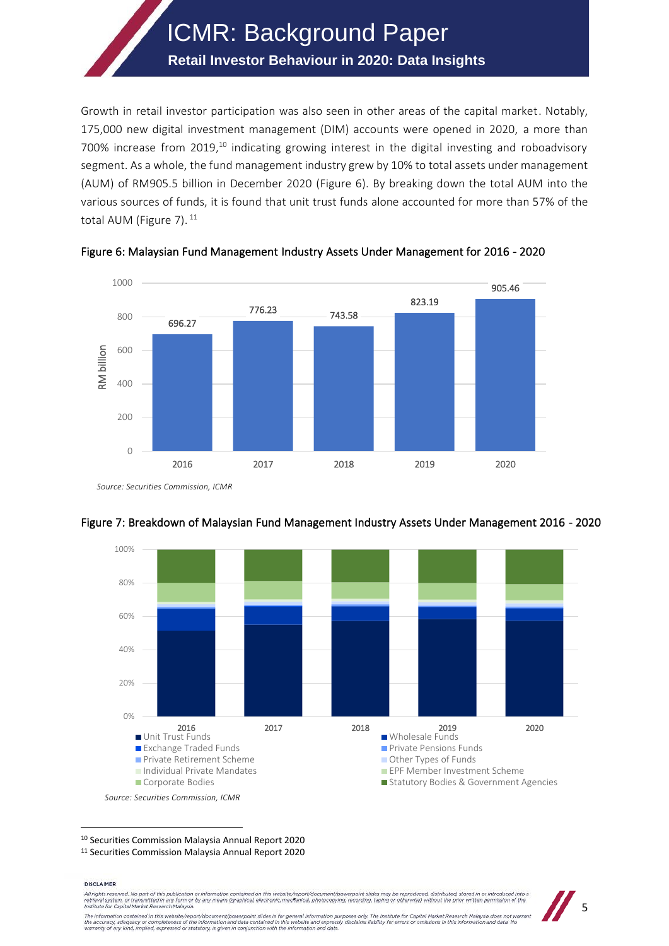## **Retail Investor Behaviour in 2020: Data Insights**

Growth in retail investor participation was also seen in other areas of the capital market. Notably, 175,000 new digital investment management (DIM) accounts were opened in 2020, a more than 700% increase from 2019,<sup>10</sup> indicating growing interest in the digital investing and roboadvisory segment. As a whole, the fund management industry grew by 10% to total assets under management (AUM) of RM905.5 billion in December 2020 (Figure 6). By breaking down the total AUM into the various sources of funds, it is found that unit trust funds alone accounted for more than 57% of the total AUM (Figure 7).<sup>11</sup>

![](_page_4_Figure_3.jpeg)

Figure 6: Malaysian Fund Management Industry Assets Under Management for 2016 - 2020

*Source: Securities Commission, ICMR*

![](_page_4_Figure_6.jpeg)

## Figure 7: Breakdown of Malaysian Fund Management Industry Assets Under Management 2016 - 2020

<sup>10</sup> Securities Commission Malaysia Annual Report 2020

<sup>11</sup> Securities Commission Malaysia Annual Report 2020

#### DISCLAIMER

All rights reserved. No part of this publication or information contain ed on this website/report/document/po erpoint slides may be repr duced, distributed, stared in or introduced into a entrieval system, or transmitted in any form or by any means contained or this website, epoch observation planet planet and a matematical processes and the interest of the matematical processes of the matematical processes

![](_page_4_Picture_13.jpeg)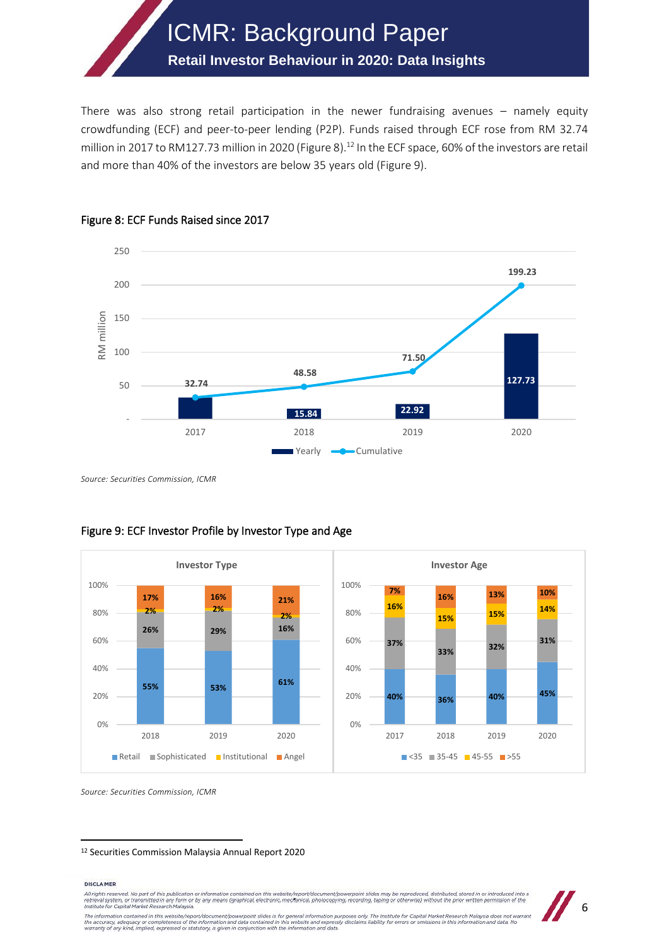# **Retail Investor Behaviour in 2020: Data Insights**

There was also strong retail participation in the newer fundraising avenues – namely equity crowdfunding (ECF) and peer-to-peer lending (P2P). Funds raised through ECF rose from RM 32.74 million in 2017 to RM127.73 million in 2020 (Figure 8).<sup>12</sup> In the ECF space, 60% of the investors are retail and more than 40% of the investors are below 35 years old (Figure 9).

![](_page_5_Figure_3.jpeg)

#### Figure 8: ECF Funds Raised since 2017

*Source: Securities Commission, ICMR*

![](_page_5_Figure_6.jpeg)

## Figure 9: ECF Investor Profile by Investor Type and Age

*Source: Securities Commission, ICMR*

<sup>12</sup> Securities Commission Malaysia Annual Report 2020

#### **DISCLAIMER**

All rights reserved. No part of this publication or information contained on this website/report/document/powerpoint slides may be reproduced, distributed, stored in or introduced into a<br>retrieval system, or transmitted in

![](_page_5_Picture_12.jpeg)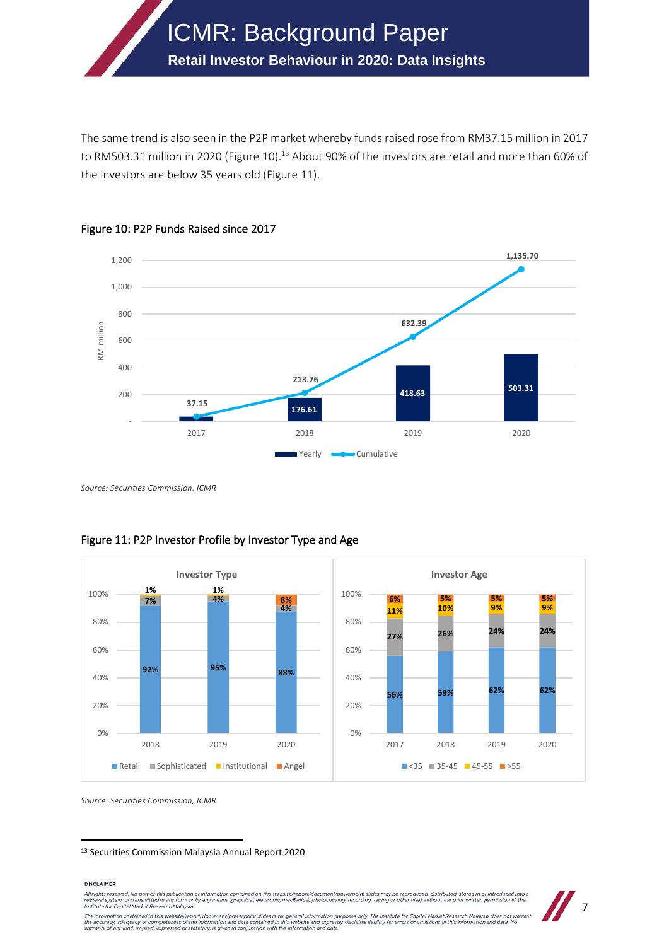The same trend is also seen in the P2P market whereby funds raised rose from RM37.15 million in 2017 to RM503.31 million in 2020 (Figure 10).<sup>13</sup> About 90% of the investors are retail and more than 60% of the investors are below 35 years old (Figure 11).

ICMR: Background Paper

**Retail Investor Behaviour in 2020: Data Insights**

![](_page_6_Figure_1.jpeg)

![](_page_6_Figure_2.jpeg)

*Source: Securities Commission, ICMR*

![](_page_6_Figure_4.jpeg)

## Figure 11: P2P Investor Profile by Investor Type and Age

*Source: Securities Commission, ICMR*

<sup>13</sup> Securities Commission Malaysia Annual Report 2020

#### **DISCLAIMER**

DISCLAIMER<br>All rights reserved. No part of this publication or information contained on this website/report/document/powerpoint slides may be reproduced, distributed, stored in or introduced into a<br>retrieval system, or tra

![](_page_6_Picture_10.jpeg)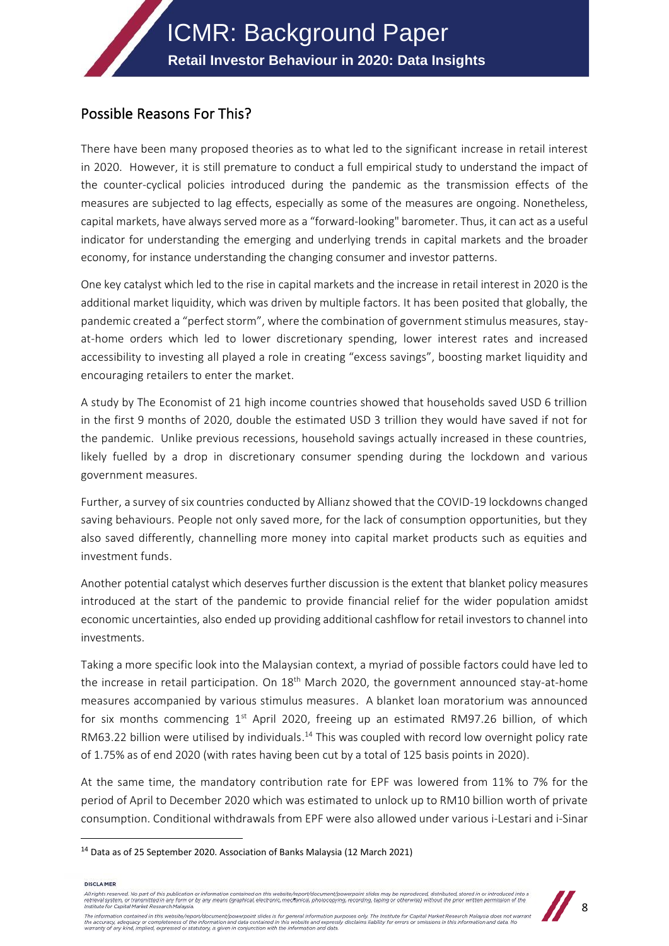# Possible Reasons For This?

There have been many proposed theories as to what led to the significant increase in retail interest in 2020. However, it is still premature to conduct a full empirical study to understand the impact of the counter-cyclical policies introduced during the pandemic as the transmission effects of the measures are subjected to lag effects, especially as some of the measures are ongoing. Nonetheless, capital markets, have always served more as a "forward-looking" barometer. Thus, it can act as a useful indicator for understanding the emerging and underlying trends in capital markets and the broader economy, for instance understanding the changing consumer and investor patterns.

One key catalyst which led to the rise in capital markets and the increase in retail interest in 2020 is the additional market liquidity, which was driven by multiple factors. It has been posited that globally, the pandemic created a "perfect storm", where the combination of government stimulus measures, stayat-home orders which led to lower discretionary spending, lower interest rates and increased accessibility to investing all played a role in creating "excess savings", boosting market liquidity and encouraging retailers to enter the market.

A study by The Economist of 21 high income countries showed that households saved USD 6 trillion in the first 9 months of 2020, double the estimated USD 3 trillion they would have saved if not for the pandemic. Unlike previous recessions, household savings actually increased in these countries, likely fuelled by a drop in discretionary consumer spending during the lockdown and various government measures.

Further, a survey of six countries conducted by Allianz showed that the COVID-19 lockdowns changed saving behaviours. People not only saved more, for the lack of consumption opportunities, but they also saved differently, channelling more money into capital market products such as equities and investment funds.

Another potential catalyst which deserves further discussion is the extent that blanket policy measures introduced at the start of the pandemic to provide financial relief for the wider population amidst economic uncertainties, also ended up providing additional cashflow for retail investors to channel into investments.

Taking a more specific look into the Malaysian context, a myriad of possible factors could have led to the increase in retail participation. On 18<sup>th</sup> March 2020, the government announced stay-at-home measures accompanied by various stimulus measures. A blanket loan moratorium was announced for six months commencing  $1<sup>st</sup>$  April 2020, freeing up an estimated RM97.26 billion, of which RM63.22 billion were utilised by individuals.<sup>14</sup> This was coupled with record low overnight policy rate of 1.75% as of end 2020 (with rates having been cut by a total of 125 basis points in 2020).

At the same time, the mandatory contribution rate for EPF was lowered from 11% to 7% for the period of April to December 2020 which was estimated to unlock up to RM10 billion worth of private consumption. Conditional withdrawals from EPF were also allowed under various i-Lestari and i-Sinar

**DISCLAIMER** 

.<br>All rights reserved. No part of this publication or information contained on this website/report/document/powerpoint slides may be reproduced, distributed, stored in or introduced into a Ail rights reserved. We part of this publication of intermation contained on this webstep-poportrodical providence singles reproduced, astroclean states in or introduced interest interest in the material of the experiment

![](_page_7_Picture_12.jpeg)

The information contained in this website/report/document/powerpoint slides is for general information purposes only. The institute for Capital Market Research Malaysia does not warrant<br>the accuracy, adequacy or completene

<sup>&</sup>lt;sup>14</sup> Data as of 25 September 2020. Association of Banks Malaysia (12 March 2021)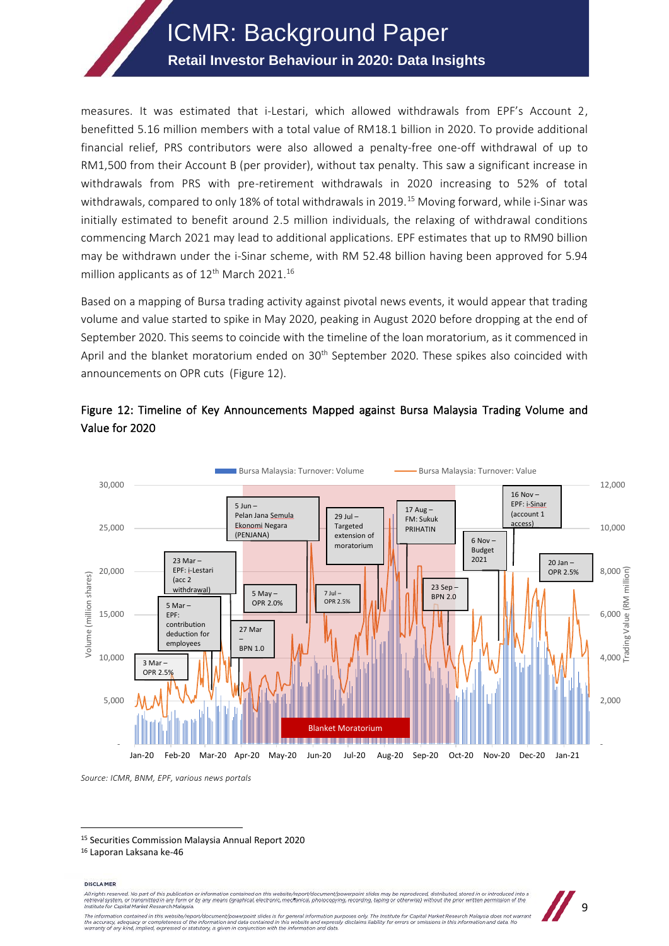## **Retail Investor Behaviour in 2020: Data Insights**

measures. It was estimated that i-Lestari, which allowed withdrawals from EPF's Account 2, benefitted 5.16 million members with a total value of RM18.1 billion in 2020. To provide additional financial relief, PRS contributors were also allowed a penalty-free one-off withdrawal of up to RM1,500 from their Account B (per provider), without tax penalty. This saw a significant increase in withdrawals from PRS with pre-retirement withdrawals in 2020 increasing to 52% of total withdrawals, compared to only 18% of total withdrawals in 2019.<sup>15</sup> Moving forward, while i-Sinar was initially estimated to benefit around 2.5 million individuals, the relaxing of withdrawal conditions commencing March 2021 may lead to additional applications. EPF estimates that up to RM90 billion may be withdrawn under the i-Sinar scheme, with RM 52.48 billion having been approved for 5.94 million applicants as of  $12<sup>th</sup>$  March 2021.<sup>16</sup>

Based on a mapping of Bursa trading activity against pivotal news events, it would appear that trading volume and value started to spike in May 2020, peaking in August 2020 before dropping at the end of September 2020. This seems to coincide with the timeline of the loan moratorium, as it commenced in April and the blanket moratorium ended on 30<sup>th</sup> September 2020. These spikes also coincided with announcements on OPR cuts (Figure 12).

![](_page_8_Figure_4.jpeg)

## Figure 12: Timeline of Key Announcements Mapped against Bursa Malaysia Trading Volume and Value for 2020

*Source: ICMR, BNM, EPF, various news portals*

**DISCLAIMER** 

All rights reserved. No part of this publication or information contain d on this website/repo ort/document/po erpoint slides may be re duced, distributed, stared in or introduced into a smitted in any form or by any means (graphical, electronic, mechanical, photocopying, recording, taping or otherwise) without the prior written per mission of the Institute for Capital Market Research Malaysia The information contained in this website/report/document/powerpoint slides is for general information purposes only. The institute for Capital Market Research Malaysia does not warrant<br>the accuracy, adequacy or completene

![](_page_8_Picture_11.jpeg)

<sup>15</sup> Securities Commission Malaysia Annual Report 2020

<sup>16</sup> Laporan Laksana ke-46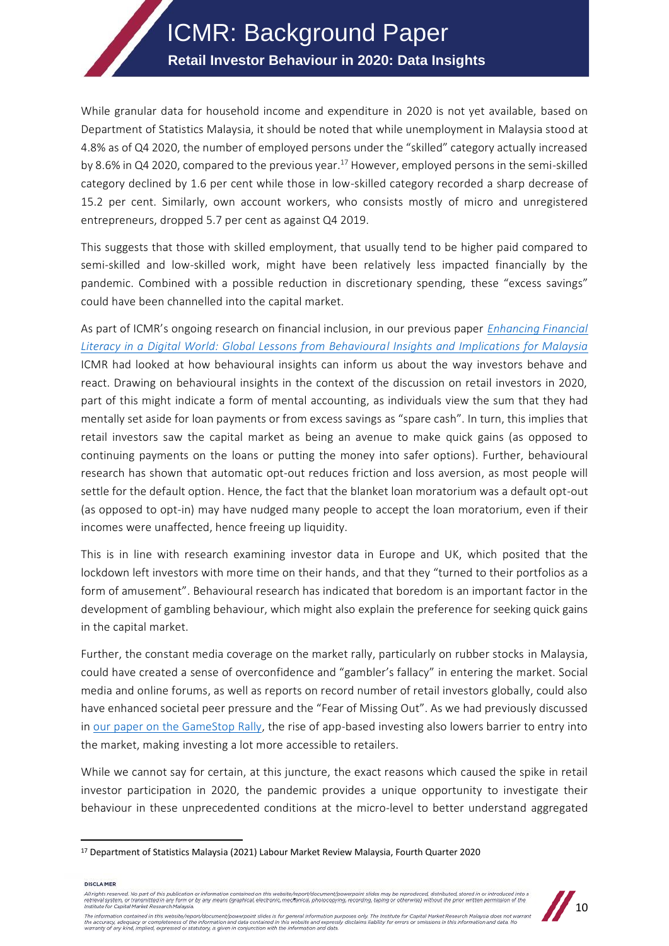# ICMR: Background Paper **Retail Investor Behaviour in 2020: Data Insights**

While granular data for household income and expenditure in 2020 is not yet available, based on Department of Statistics Malaysia, it should be noted that while unemployment in Malaysia stood at 4.8% as of Q4 2020, the number of employed persons under the "skilled" category actually increased by 8.6% in Q4 2020, compared to the previous year. <sup>17</sup> However, employed persons in the semi-skilled category declined by 1.6 per cent while those in low-skilled category recorded a sharp decrease of 15.2 per cent. Similarly, own account workers, who consists mostly of micro and unregistered entrepreneurs, dropped 5.7 per cent as against Q4 2019.

This suggests that those with skilled employment, that usually tend to be higher paid compared to semi-skilled and low-skilled work, might have been relatively less impacted financially by the pandemic. Combined with a possible reduction in discretionary spending, these "excess savings" could have been channelled into the capital market.

As part of ICMR's ongoing research on financial inclusion, in our previous paper *[Enhancing Financial](https://www.icmr.my/financialliteracy/)  [Literacy in a Digital World: Global Lessons from Behavioural Insights and Implications for Malaysia](https://www.icmr.my/financialliteracy/)* ICMR had looked at how behavioural insights can inform us about the way investors behave and react. Drawing on behavioural insights in the context of the discussion on retail investors in 2020, part of this might indicate a form of mental accounting, as individuals view the sum that they had mentally set aside for loan payments or from excess savings as "spare cash". In turn, this implies that retail investors saw the capital market as being an avenue to make quick gains (as opposed to continuing payments on the loans or putting the money into safer options). Further, behavioural research has shown that automatic opt-out reduces friction and loss aversion, as most people will settle for the default option. Hence, the fact that the blanket loan moratorium was a default opt-out (as opposed to opt-in) may have nudged many people to accept the loan moratorium, even if their incomes were unaffected, hence freeing up liquidity.

This is in line with research examining investor data in Europe and UK, which posited that the lockdown left investors with more time on their hands, and that they "turned to their portfolios as a form of amusement". Behavioural research has indicated that boredom is an important factor in the development of gambling behaviour, which might also explain the preference for seeking quick gains in the capital market.

Further, the constant media coverage on the market rally, particularly on rubber stocks in Malaysia, could have created a sense of overconfidence and "gambler's fallacy" in entering the market. Social media and online forums, as well as reports on record number of retail investors globally, could also have enhanced societal peer pressure and the "Fear of Missing Out". As we had previously discussed in [our paper on the GameStop Rally,](https://www.icmr.my/the-gamestop-trading-rally-understanding-investor-behaviour-in-a-changing-world/) the rise of app-based investing also lowers barrier to entry into the market, making investing a lot more accessible to retailers.

While we cannot say for certain, at this juncture, the exact reasons which caused the spike in retail investor participation in 2020, the pandemic provides a unique opportunity to investigate their behaviour in these unprecedented conditions at the micro-level to better understand aggregated

**DISCLAIMER** 

<sup>.&</sup>lt;br>All rights reserved. No part of this publication or information contained on this website/report/document/powerpoint slides may be reproduced, distributed, stored in or introduced into a Ail rights reserved. We part of this publication of intermation contained on this webstep-poportrodical providence singles reproduced, astroclean states in or introduced interest interest in the material of the experiment

![](_page_9_Picture_10.jpeg)

The information contained in this website/report/document/powerpoint slides is for general information purposes only. The institute for Capital Market Research Malaysia does not warrant<br>the accuracy, adequacy or completene

<sup>17</sup> Department of Statistics Malaysia (2021) Labour Market Review Malaysia, Fourth Quarter 2020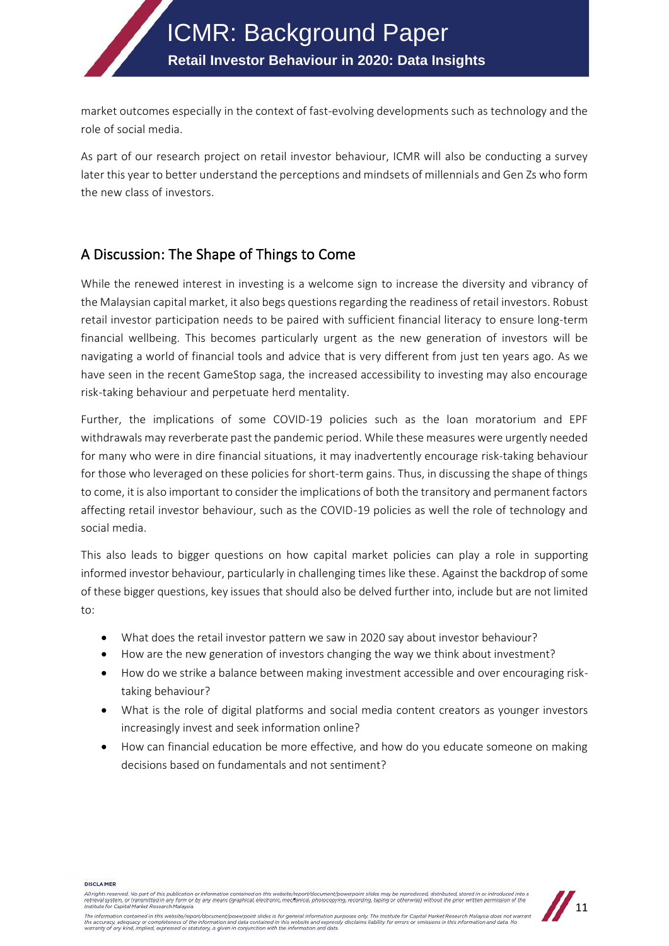market outcomes especially in the context of fast-evolving developments such as technology and the role of social media.

As part of our research project on retail investor behaviour, ICMR will also be conducting a survey later this year to better understand the perceptions and mindsets of millennials and Gen Zs who form the new class of investors.

# A Discussion: The Shape of Things to Come

While the renewed interest in investing is a welcome sign to increase the diversity and vibrancy of the Malaysian capital market, it also begs questions regarding the readiness of retail investors. Robust retail investor participation needs to be paired with sufficient financial literacy to ensure long-term financial wellbeing. This becomes particularly urgent as the new generation of investors will be navigating a world of financial tools and advice that is very different from just ten years ago. As we have seen in the recent GameStop saga, the increased accessibility to investing may also encourage risk-taking behaviour and perpetuate herd mentality.

Further, the implications of some COVID-19 policies such as the loan moratorium and EPF withdrawals may reverberate past the pandemic period. While these measures were urgently needed for many who were in dire financial situations, it may inadvertently encourage risk-taking behaviour for those who leveraged on these policies for short-term gains. Thus, in discussing the shape of things to come, it is also important to consider the implications of both the transitory and permanent factors affecting retail investor behaviour, such as the COVID-19 policies as well the role of technology and social media.

This also leads to bigger questions on how capital market policies can play a role in supporting informed investor behaviour, particularly in challenging times like these. Against the backdrop of some of these bigger questions, key issues that should also be delved further into, include but are not limited to:

- What does the retail investor pattern we saw in 2020 say about investor behaviour?
- How are the new generation of investors changing the way we think about investment?
- How do we strike a balance between making investment accessible and over encouraging risktaking behaviour?
- What is the role of digital platforms and social media content creators as younger investors increasingly invest and seek information online?
- How can financial education be more effective, and how do you educate someone on making decisions based on fundamentals and not sentiment?

**DISCLAIMER** 

All rights reserved. No part of this publication or information contained on this website/report/document/powerpoint slides may be reproduced, distributed, stored in or introduced into a<br>retrieval system, or transmitted in

![](_page_10_Picture_14.jpeg)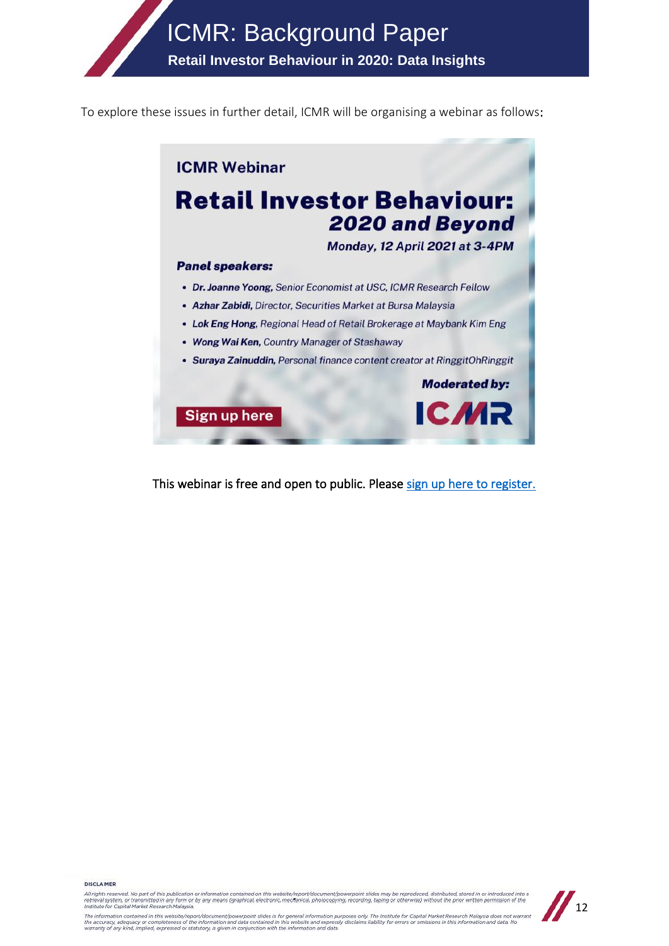**Retail Investor Behaviour in 2020: Data Insights**

To explore these issues in further detail, ICMR will be organising a webinar as follows:

![](_page_11_Picture_3.jpeg)

This webinar is free and open to public. Please [sign up here to register.](https://docs.google.com/forms/d/18RH_KkqkIwnTcZaF6ed-c8zKhcH5tYPdtp4VQ5cOH74/edit)

**DISCLAIMER** 

ы этить.<br>All rights reserved. No part of this publication crimitation contained on this website/report/document/powerpoint slides may be reproduced distributed, stored in or introduced into a<br>retrieval system, or transmit The information contained in this website/report/document/powerpoint slides is for general information purposes only. The institute for Capital Market Research Malaysia does not warrant<br>the accuracy, adequacy or completene

![](_page_11_Picture_7.jpeg)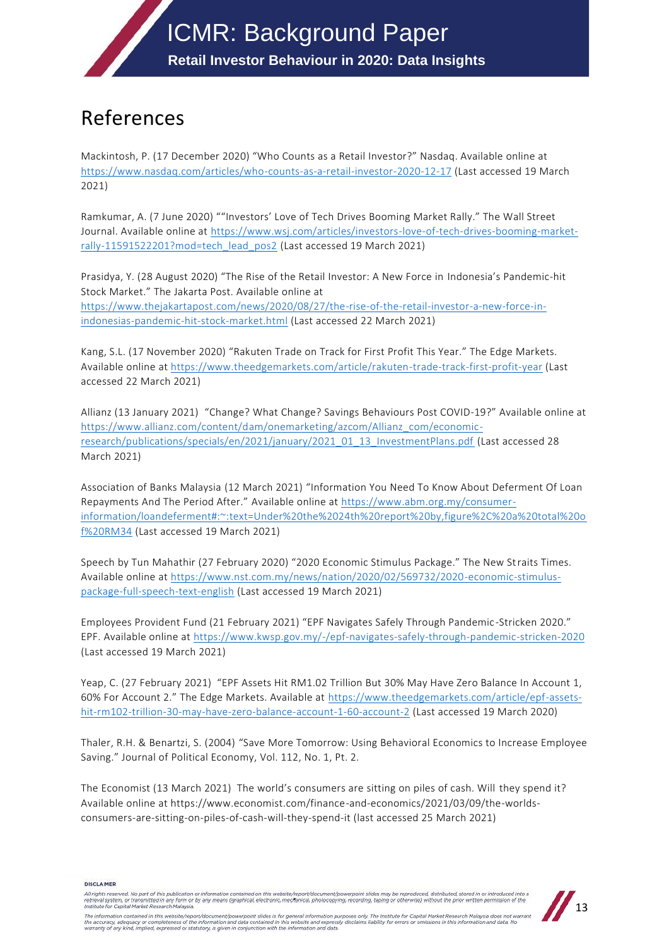# References

Mackintosh, P. (17 December 2020) "Who Counts as a Retail Investor?" Nasdaq. Available online at <https://www.nasdaq.com/articles/who-counts-as-a-retail-investor-2020-12-17> (Last accessed 19 March 2021)

Ramkumar, A. (7 June 2020) ""Investors' Love of Tech Drives Booming Market Rally." The Wall Street Journal. Available online at [https://www.wsj.com/articles/investors-love-of-tech-drives-booming-market](https://www.wsj.com/articles/investors-love-of-tech-drives-booming-market-rally-11591522201?mod=tech_lead_pos2)[rally-11591522201?mod=tech\\_lead\\_pos2](https://www.wsj.com/articles/investors-love-of-tech-drives-booming-market-rally-11591522201?mod=tech_lead_pos2) (Last accessed 19 March 2021)

Prasidya, Y. (28 August 2020) "The Rise of the Retail Investor: A New Force in Indonesia's Pandemic-hit Stock Market." The Jakarta Post. Available online at [https://www.thejakartapost.com/news/2020/08/27/the-rise-of-the-retail-investor-a-new-force-in](https://www.thejakartapost.com/news/2020/08/27/the-rise-of-the-retail-investor-a-new-force-in-indonesias-pandemic-hit-stock-market.html)[indonesias-pandemic-hit-stock-market.html](https://www.thejakartapost.com/news/2020/08/27/the-rise-of-the-retail-investor-a-new-force-in-indonesias-pandemic-hit-stock-market.html) (Last accessed 22 March 2021)

Kang, S.L. (17 November 2020) "Rakuten Trade on Track for First Profit This Year." The Edge Markets. Available online at<https://www.theedgemarkets.com/article/rakuten-trade-track-first-profit-year> (Last accessed 22 March 2021)

Allianz (13 January 2021) "Change? What Change? Savings Behaviours Post COVID-19?" Available online at [https://www.allianz.com/content/dam/onemarketing/azcom/Allianz\\_com/economic](https://www.allianz.com/content/dam/onemarketing/azcom/Allianz_com/economic-research/publications/specials/en/2021/january/2021_01_13_InvestmentPlans.pdf)[research/publications/specials/en/2021/january/2021\\_01\\_13\\_InvestmentPlans.pdf](https://www.allianz.com/content/dam/onemarketing/azcom/Allianz_com/economic-research/publications/specials/en/2021/january/2021_01_13_InvestmentPlans.pdf) (Last accessed 28 March 2021)

Association of Banks Malaysia (12 March 2021) "Information You Need To Know About Deferment Of Loan Repayments And The Period After." Available online at [https://www.abm.org.my/consumer](https://www.abm.org.my/consumer-information/loandeferment#:~:text=Under%20the%2024th%20report%20by,figure%2C%20a%20total%20of%20RM34)[information/loandeferment#:~:text=Under%20the%2024th%20report%20by,figure%2C%20a%20total%20o](https://www.abm.org.my/consumer-information/loandeferment#:~:text=Under%20the%2024th%20report%20by,figure%2C%20a%20total%20of%20RM34) [f%20RM34](https://www.abm.org.my/consumer-information/loandeferment#:~:text=Under%20the%2024th%20report%20by,figure%2C%20a%20total%20of%20RM34) (Last accessed 19 March 2021)

Speech by Tun Mahathir (27 February 2020) "2020 Economic Stimulus Package." The New Straits Times. Available online at [https://www.nst.com.my/news/nation/2020/02/569732/2020-economic-stimulus](https://www.nst.com.my/news/nation/2020/02/569732/2020-economic-stimulus-package-full-speech-text-english)[package-full-speech-text-english](https://www.nst.com.my/news/nation/2020/02/569732/2020-economic-stimulus-package-full-speech-text-english) (Last accessed 19 March 2021)

Employees Provident Fund (21 February 2021) "EPF Navigates Safely Through Pandemic -Stricken 2020." EPF. Available online at<https://www.kwsp.gov.my/-/epf-navigates-safely-through-pandemic-stricken-2020> (Last accessed 19 March 2021)

Yeap, C. (27 February 2021) "EPF Assets Hit RM1.02 Trillion But 30% May Have Zero Balance In Account 1, 60% For Account 2." The Edge Markets. Available at [https://www.theedgemarkets.com/article/epf-assets](https://www.theedgemarkets.com/article/epf-assets-hit-rm102-trillion-30-may-have-zero-balance-account-1-60-account-2)[hit-rm102-trillion-30-may-have-zero-balance-account-1-60-account-2](https://www.theedgemarkets.com/article/epf-assets-hit-rm102-trillion-30-may-have-zero-balance-account-1-60-account-2) (Last accessed 19 March 2020)

Thaler, R.H. & Benartzi, S. (2004) "Save More Tomorrow: Using Behavioral Economics to Increase Employee Saving." Journal of Political Economy, Vol. 112, No. 1, Pt. 2.

The Economist (13 March 2021) The world's consumers are sitting on piles of cash. Will they spend it? Available online at https://www.economist.com/finance-and-economics/2021/03/09/the-worldsconsumers-are-sitting-on-piles-of-cash-will-they-spend-it (last accessed 25 March 2021)

DISCLAIMER

All rights reserved. No part of this publication or information contained on this website/report/document/powerpoint slides may be reproduced distributed, stored in or introduced into a<br>retrieval system, or transmitted in

![](_page_12_Picture_15.jpeg)